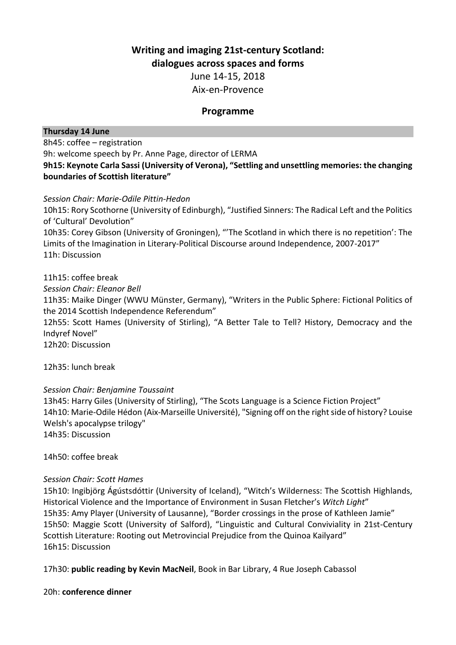# **Writing and imaging 21st-century Scotland:**

**dialogues across spaces and forms**

June 14-15, 2018

Aix-en-Provence

## **Programme**

#### **Thursday 14 June**

8h45: coffee – registration

9h: welcome speech by Pr. Anne Page, director of LERMA

**9h15: Keynote Carla Sassi (University of Verona), "Settling and unsettling memories: the changing boundaries of Scottish literature"**

*Session Chair: Marie-Odile Pittin-Hedon*

10h15: Rory Scothorne (University of Edinburgh), "Justified Sinners: The Radical Left and the Politics of 'Cultural' Devolution"

10h35: Corey Gibson (University of Groningen), "'The Scotland in which there is no repetition': The Limits of the Imagination in Literary-Political Discourse around Independence, 2007-2017" 11h: Discussion

## 11h15: coffee break

*Session Chair: Eleanor Bell* 11h35: Maike Dinger (WWU Münster, Germany), "Writers in the Public Sphere: Fictional Politics of the 2014 Scottish Independence Referendum" 12h55: Scott Hames (University of Stirling), "A Better Tale to Tell? History, Democracy and the Indyref Novel" 12h20: Discussion

12h35: lunch break

## *Session Chair: Benjamine Toussaint*

13h45: Harry Giles (University of Stirling), "The Scots Language is a Science Fiction Project" 14h10: Marie-Odile Hédon (Aix-Marseille Université), "Signing off on the right side of history? Louise Welsh's apocalypse trilogy" 14h35: Discussion

14h50: coffee break

## *Session Chair: Scott Hames*

15h10: Ingibjörg Ágústsdóttir (University of Iceland), "Witch's Wilderness: The Scottish Highlands, Historical Violence and the Importance of Environment in Susan Fletcher's *Witch Light*" 15h35: Amy Player (University of Lausanne), "Border crossings in the prose of Kathleen Jamie" 15h50: Maggie Scott (University of Salford), "Linguistic and Cultural Conviviality in 21st-Century Scottish Literature: Rooting out Metrovincial Prejudice from the Quinoa Kailyard" 16h15: Discussion

17h30: **public reading by Kevin MacNeil**, Book in Bar Library, 4 Rue Joseph Cabassol

## 20h: **conference dinner**